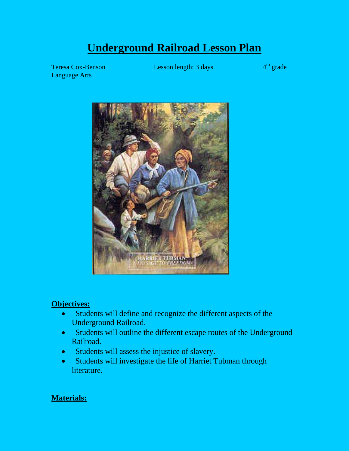# **Underground Railroad Lesson Plan**

Language Arts

Teresa Cox-Benson Lesson length: 3 days 4<sup>th</sup> grade



## **Objectives:**

- Students will define and recognize the different aspects of the Underground Railroad.
- Students will outline the different escape routes of the Underground Railroad.
- Students will assess the injustice of slavery.
- Students will investigate the life of Harriet Tubman through literature.

## **Materials:**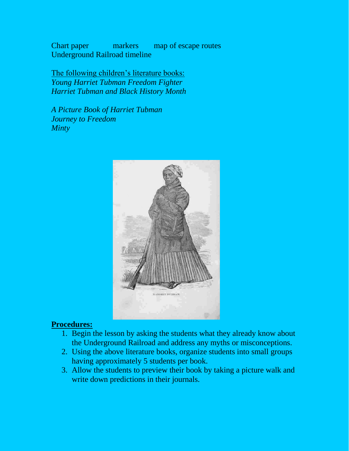Chart paper markers map of escape routes Underground Railroad timeline

The following children's literature books: *Young Harriet Tubman Freedom Fighter Harriet Tubman and Black History Month*

*A Picture Book of Harriet Tubman Journey to Freedom Minty*



### **Procedures:**

- 1. Begin the lesson by asking the students what they already know about the Underground Railroad and address any myths or misconceptions.
- 2. Using the above literature books, organize students into small groups having approximately 5 students per book.
- 3. Allow the students to preview their book by taking a picture walk and write down predictions in their journals.